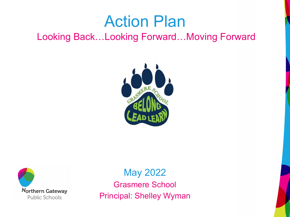## Action Plan

Looking Back…Looking Forward…Moving Forward





May 2022 Grasmere School Principal: Shelley Wyman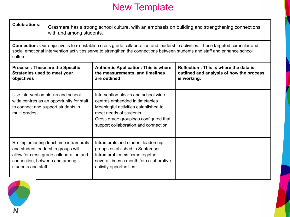## New Template

| <b>Celebrations:</b>                                                                                                                                                                                                                                                      | Grasmere has a strong school culture, with an emphasis on building and strengthening connections<br>with and among students. |                                                                                                                                                                                                                          |                                                                                                  |  |
|---------------------------------------------------------------------------------------------------------------------------------------------------------------------------------------------------------------------------------------------------------------------------|------------------------------------------------------------------------------------------------------------------------------|--------------------------------------------------------------------------------------------------------------------------------------------------------------------------------------------------------------------------|--------------------------------------------------------------------------------------------------|--|
| Connection: Our objective is to re-establish cross grade collaboration and leadership activities. These targeted curricular and<br>social emotional intervention activities serve to strengthen the connections between students and staff and enhance school<br>culture. |                                                                                                                              |                                                                                                                                                                                                                          |                                                                                                  |  |
| <b>Process: These are the Specific</b><br><b>Strategies used to meet your</b><br>objectives                                                                                                                                                                               |                                                                                                                              | <b>Authentic Application: This is where</b><br>the measurements, and timelines<br>are outlined                                                                                                                           | Reflection: This is where the data is<br>outlined and analysis of how the process<br>is working. |  |
| multi grades                                                                                                                                                                                                                                                              | Use intervention blocks and school<br>wide centres as an opportunity for staff<br>to connect and support students in         | Intervention blocks and school wide<br>centres embedded in timetables<br>Meaningful activities established to<br>meet needs of students<br>Cross grade groupings configured that<br>support collaboration and connection |                                                                                                  |  |
| connection, between and among<br>students and staff.                                                                                                                                                                                                                      | Re-implementing lunchtime intramurals<br>and student leadership groups will<br>allow for cross grade collaboration and       | Intramurals and student leadership<br>groups established in September<br>Intramural teams come together<br>several times a month for collaborative<br>activity opportunities.                                            |                                                                                                  |  |